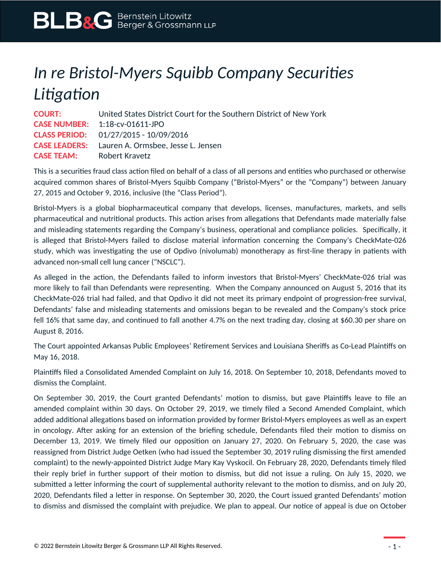## *In re Bristol-Myers Squibb Company Securities Litigation*

**COURT:** United States District Court for the Southern District of New York **CASE NUMBER:** 1:18-cv-01611-JPO **CLASS PERIOD:** 01/27/2015 - 10/09/2016 **CASE LEADERS:** Lauren A. Ormsbee, Jesse L. Jensen **CASE TEAM:** Robert Kravetz

This is a securities fraud class action filed on behalf of a class of all persons and entities who purchased or otherwise acquired common shares of Bristol-Myers Squibb Company ("Bristol-Myers" or the "Company") between January 27, 2015 and October 9, 2016, inclusive (the "Class Period").

Bristol-Myers is a global biopharmaceutical company that develops, licenses, manufactures, markets, and sells pharmaceutical and nutritional products. This action arises from allegations that Defendants made materially false and misleading statements regarding the Company's business, operational and compliance policies. Specifically, it is alleged that Bristol-Myers failed to disclose material information concerning the Company's CheckMate-026 study, which was investigating the use of Opdivo (nivolumab) monotherapy as first-line therapy in patients with advanced non-small cell lung cancer ("NSCLC").

As alleged in the action, the Defendants failed to inform investors that Bristol-Myers' CheckMate-026 trial was more likely to fail than Defendants were representing. When the Company announced on August 5, 2016 that its CheckMate-026 trial had failed, and that Opdivo it did not meet its primary endpoint of progression-free survival, Defendants' false and misleading statements and omissions began to be revealed and the Company's stock price fell 16% that same day, and continued to fall another 4.7% on the next trading day, closing at \$60.30 per share on August 8, 2016.

The Court appointed Arkansas Public Employees' Retirement Services and Louisiana Sheriffs as Co-Lead Plaintiffs on May 16, 2018.

Plaintiffs filed a Consolidated Amended Complaint on July 16, 2018. On September 10, 2018, Defendants moved to dismiss the Complaint.

On September 30, 2019, the Court granted Defendants' motion to dismiss, but gave Plaintiffs leave to file an amended complaint within 30 days. On October 29, 2019, we timely filed a Second Amended Complaint, which added additional allegations based on information provided by former Bristol-Myers employees as well as an expert in oncology. After asking for an extension of the briefing schedule, Defendants filed their motion to dismiss on December 13, 2019. We timely filed our opposition on January 27, 2020. On February 5, 2020, the case was reassigned from District Judge Oetken (who had issued the September 30, 2019 ruling dismissing the first amended complaint) to the newly-appointed District Judge Mary Kay Vyskocil. On February 28, 2020, Defendants timely filed their reply brief in further support of their motion to dismiss, but did not issue a ruling. On July 15, 2020, we submitted a letter informing the court of supplemental authority relevant to the motion to dismiss, and on July 20, 2020, Defendants filed a letter in response. On September 30, 2020, the Court issued granted Defendants' motion to dismiss and dismissed the complaint with prejudice. We plan to appeal. Our notice of appeal is due on October